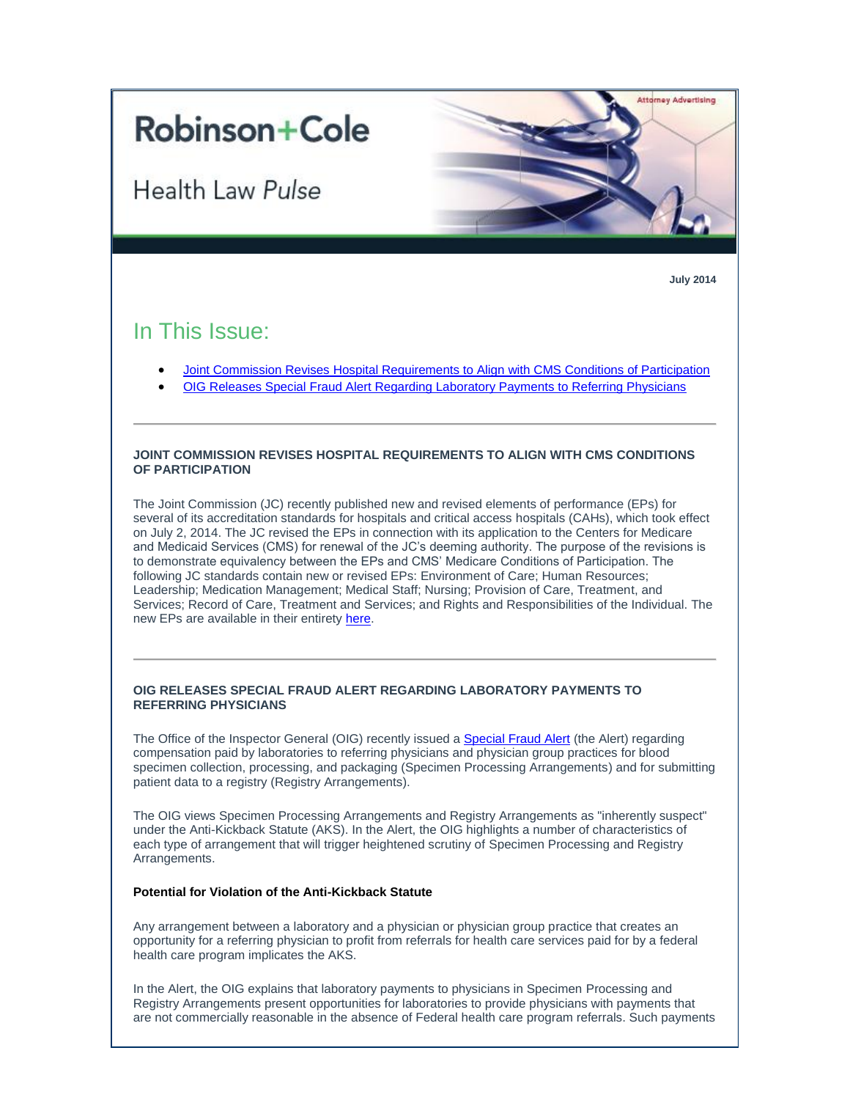# **Robinson+Cole**

Health Law Pulse



**July 2014**

## In This Issue:

- [Joint Commission Revises Hospital Requirements to Align with CMS Conditions of Participation](#page-0-0)
- [OIG Releases Special Fraud Alert Regarding Laboratory Payments to Referring Physicians](#page-0-1)

#### <span id="page-0-0"></span>**JOINT COMMISSION REVISES HOSPITAL REQUIREMENTS TO ALIGN WITH CMS CONDITIONS OF PARTICIPATION**

The Joint Commission (JC) recently published new and revised elements of performance (EPs) for several of its accreditation standards for hospitals and critical access hospitals (CAHs), which took effect on July 2, 2014. The JC revised the EPs in connection with its application to the Centers for Medicare and Medicaid Services (CMS) for renewal of the JC's deeming authority. The purpose of the revisions is to demonstrate equivalency between the EPs and CMS' Medicare Conditions of Participation. The following JC standards contain new or revised EPs: Environment of Care; Human Resources; Leadership; Medication Management; Medical Staff; Nursing; Provision of Care, Treatment, and Services; Record of Care, Treatment and Services; and Rights and Responsibilities of the Individual. The new EPs are available in their entirety [here.](http://t2806904.invoc.us/track.aspx?id=402|2AD478|6F10|19C|693|0|3A4|1|6BDDC496&useSmaid=t&useCid=t&destination=http%3a%2f%2fwww.jointcommission.org%2fstandards_information%2fprepublication_standards.aspx&dchk=6506001B)

### <span id="page-0-1"></span>**OIG RELEASES SPECIAL FRAUD ALERT REGARDING LABORATORY PAYMENTS TO REFERRING PHYSICIANS**

The Office of the Inspector General (OIG) recently issued a **Special Fraud Alert** (the Alert) regarding compensation paid by laboratories to referring physicians and physician group practices for blood specimen collection, processing, and packaging (Specimen Processing Arrangements) and for submitting patient data to a registry (Registry Arrangements).

The OIG views Specimen Processing Arrangements and Registry Arrangements as "inherently suspect" under the Anti-Kickback Statute (AKS). In the Alert, the OIG highlights a number of characteristics of each type of arrangement that will trigger heightened scrutiny of Specimen Processing and Registry Arrangements.

#### **Potential for Violation of the Anti-Kickback Statute**

Any arrangement between a laboratory and a physician or physician group practice that creates an opportunity for a referring physician to profit from referrals for health care services paid for by a federal health care program implicates the AKS.

In the Alert, the OIG explains that laboratory payments to physicians in Specimen Processing and Registry Arrangements present opportunities for laboratories to provide physicians with payments that are not commercially reasonable in the absence of Federal health care program referrals. Such payments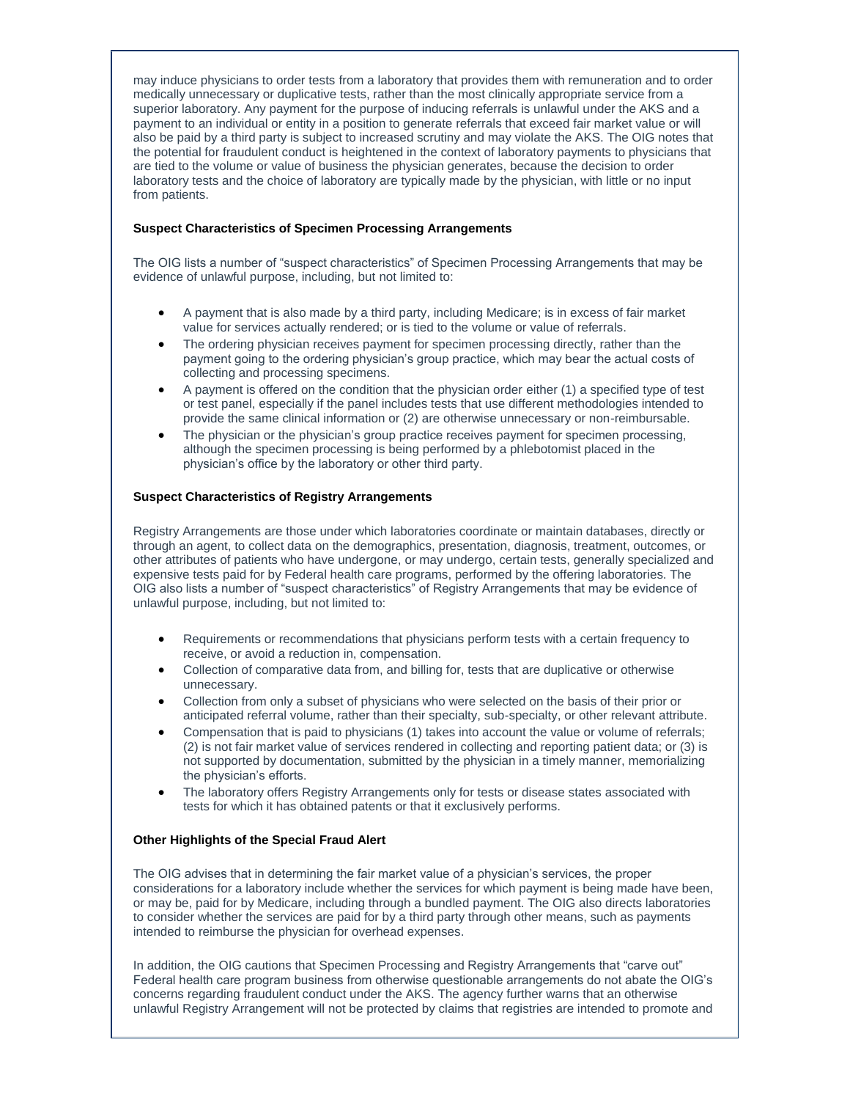may induce physicians to order tests from a laboratory that provides them with remuneration and to order medically unnecessary or duplicative tests, rather than the most clinically appropriate service from a superior laboratory. Any payment for the purpose of inducing referrals is unlawful under the AKS and a payment to an individual or entity in a position to generate referrals that exceed fair market value or will also be paid by a third party is subject to increased scrutiny and may violate the AKS. The OIG notes that the potential for fraudulent conduct is heightened in the context of laboratory payments to physicians that are tied to the volume or value of business the physician generates, because the decision to order laboratory tests and the choice of laboratory are typically made by the physician, with little or no input from patients.

#### **Suspect Characteristics of Specimen Processing Arrangements**

The OIG lists a number of "suspect characteristics" of Specimen Processing Arrangements that may be evidence of unlawful purpose, including, but not limited to:

- A payment that is also made by a third party, including Medicare; is in excess of fair market value for services actually rendered; or is tied to the volume or value of referrals.
- The ordering physician receives payment for specimen processing directly, rather than the payment going to the ordering physician's group practice, which may bear the actual costs of collecting and processing specimens.
- A payment is offered on the condition that the physician order either (1) a specified type of test or test panel, especially if the panel includes tests that use different methodologies intended to provide the same clinical information or (2) are otherwise unnecessary or non-reimbursable.
- The physician or the physician's group practice receives payment for specimen processing, although the specimen processing is being performed by a phlebotomist placed in the physician's office by the laboratory or other third party.

#### **Suspect Characteristics of Registry Arrangements**

Registry Arrangements are those under which laboratories coordinate or maintain databases, directly or through an agent, to collect data on the demographics, presentation, diagnosis, treatment, outcomes, or other attributes of patients who have undergone, or may undergo, certain tests, generally specialized and expensive tests paid for by Federal health care programs, performed by the offering laboratories. The OIG also lists a number of "suspect characteristics" of Registry Arrangements that may be evidence of unlawful purpose, including, but not limited to:

- Requirements or recommendations that physicians perform tests with a certain frequency to receive, or avoid a reduction in, compensation.
- Collection of comparative data from, and billing for, tests that are duplicative or otherwise unnecessary.
- Collection from only a subset of physicians who were selected on the basis of their prior or anticipated referral volume, rather than their specialty, sub-specialty, or other relevant attribute.
- Compensation that is paid to physicians (1) takes into account the value or volume of referrals; (2) is not fair market value of services rendered in collecting and reporting patient data; or (3) is not supported by documentation, submitted by the physician in a timely manner, memorializing the physician's efforts.
- The laboratory offers Registry Arrangements only for tests or disease states associated with tests for which it has obtained patents or that it exclusively performs.

#### **Other Highlights of the Special Fraud Alert**

The OIG advises that in determining the fair market value of a physician's services, the proper considerations for a laboratory include whether the services for which payment is being made have been, or may be, paid for by Medicare, including through a bundled payment. The OIG also directs laboratories to consider whether the services are paid for by a third party through other means, such as payments intended to reimburse the physician for overhead expenses.

In addition, the OIG cautions that Specimen Processing and Registry Arrangements that "carve out" Federal health care program business from otherwise questionable arrangements do not abate the OIG's concerns regarding fraudulent conduct under the AKS. The agency further warns that an otherwise unlawful Registry Arrangement will not be protected by claims that registries are intended to promote and